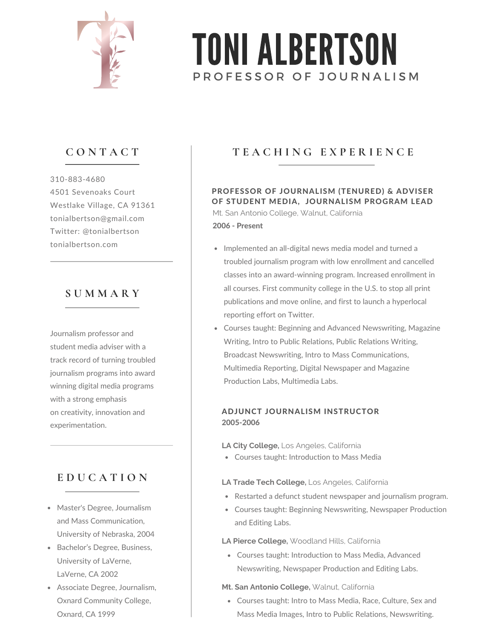

# PROFESSOR OF JOURNALISM TONI ALBERTSON

# **C O N T A C T**

310-883-4680 4501 Sevenoaks Court Westlake Village, CA 91361 tonialbertson@gmail.com Twitter: @tonialbertson tonialbertson.com

## **S U M M A R Y**

Journalism professor and student media adviser with a track record of turning troubled journalism programs into award winning digital media programs with a strong emphasis on creativity, innovation and experimentation.

# **E D U C A T I O N**

- Master's Degree, Journalism and Mass Communication, University of Nebraska, 2004
- Bachelor's Degree, Business, University of LaVerne, LaVerne, CA 2002
- Associate Degree, Journalism, Oxnard Community College, Oxnard, CA 1999

# **T E A C H I N G E X P E R I E N C E**

Mt. San Antonio College, Walnut, California 2006 - Present PROFESSOR OF JOURNALISM (TENURED) & ADVISER OF STUDENT MEDIA, JOURNALISM PROGRAM LEAD

- Implemented an all-digital news media model and turned a troubled journalism program with low enrollment and cancelled classes into an award-winning program. Increased enrollment in all courses. First community college in the U.S. to stop all print publications and move online, and first to launch a hyperlocal reporting effort on Twitter.
- Courses taught: Beginning and Advanced Newswriting, Magazine Writing, Intro to Public Relations, Public Relations Writing, Broadcast Newswriting, Intro to Mass Communications, Multimedia Reporting, Digital Newspaper and Magazine Production Labs, Multimedia Labs.

## 2005-2006 ADJUNCT JOURNALISM INSTRUCTOR

**LA City College,** Los Angeles, California

Courses taught: Introduction to Mass Media

### **LA Trade Tech College,** Los Angeles, California

- Restarted a defunct student newspaper and journalism program.
- Courses taught: Beginning Newswriting, Newspaper Production and Editing Labs.

### **LA Pierce College,** Woodland Hills, California

Courses taught: Introduction to Mass Media, Advanced Newswriting, Newspaper Production and Editing Labs.

### **Mt. San Antonio College,** Walnut, California

Courses taught: Intro to Mass Media, Race, Culture, Sex and Mass Media Images, Intro to Public Relations, Newswriting.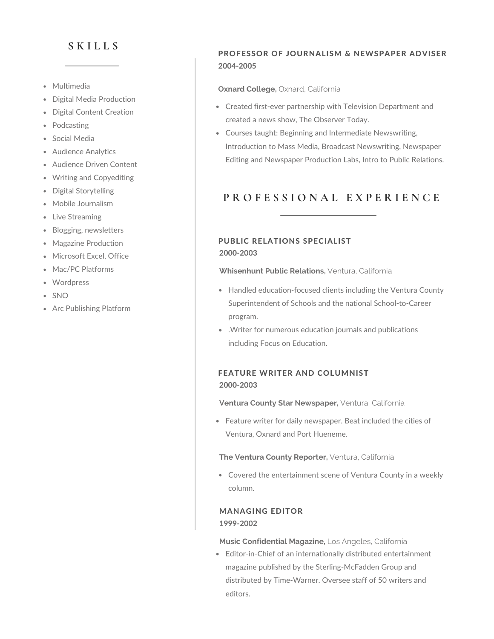## **S K I L L S**

- Multimedia
- Digital Media Production
- Digital Content Creation
- Podcasting
- Social Media
- Audience Analytics
- Audience Driven Content
- Writing and Copyediting
- Digital Storytelling
- Mobile Journalism
- Live Streaming
- Blogging, newsletters
- Magazine Production
- Microsoft Excel, Office
- Mac/PC Platforms
- Wordpress
- SNO
- Arc Publishing Platform

## PROFESSOR OF JOURNALISM & NEWSPAPER ADVISER 2004-2005

#### **Oxnard College,** Oxnard, California

- Created first-ever partnership with Television Department and created a news show, The Observer Today.
- Courses taught: Beginning and Intermediate Newswriting, Introduction to Mass Media, Broadcast Newswriting, Newspaper Editing and Newspaper Production Labs, Intro to Public Relations.

# **P R O F E S S I O N A L E X P E R I E N C E**

### PUBLIC RELATIONS SPECIALIST 2000-2003

**Whisenhunt Public Relations,** Ventura, California

- Handled education-focused clients including the Ventura County Superintendent of Schools and the national School-to-Career program.
- .Writer for numerous education journals and publications including Focus on Education.

## FEATURE WRITER AND COLUMNIST 2000-2003

**Ventura County Star Newspaper,** Ventura, California

Feature writer for daily newspaper. Beat included the cities of Ventura, Oxnard and Port Hueneme.

**The Ventura County Reporter,** Ventura, California

Covered the entertainment scene of Ventura County in a weekly column.

## MANAGING EDITOR 1999-2002

**Music Confidential Magazine,** Los Angeles, California

Editor-in-Chief of an internationally distributed entertainment magazine published by the Sterling-McFadden Group and distributed by Time-Warner. Oversee staff of 50 writers and editors.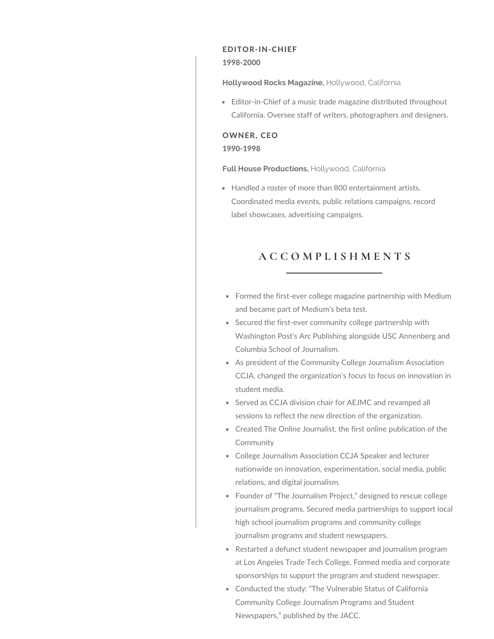#### EDITOR-IN-CHIEF

#### 1998-2000

**Hollywood Rocks Magazine,** Hollywood, California

Editor-in-Chief of a music trade magazine distributed throughout California. Oversee staff of writers, photographers and designers.

#### OWNER, CEO

1990-1998

**Full House Productions,** Hollywood, California

Handled a roster of more than 800 entertainment artists. Coordinated media events, public relations campaigns, record label showcases, advertising campaigns.

## **A C C O M P L I S H M E N T S**

- Formed the first-ever college magazine partnership with Medium and became part of Medium's beta test.
- Secured the first-ever community college partnership with Washington Post's Arc Publishing alongside USC Annenberg and Columbia School of Journalism.
- As president of the Community College Journalism Association CCJA, changed the organization's focus to focus on innovation in student media.
- Served as CCJA division chair for AEJMC and revamped all sessions to reflect the new direction of the organization.
- Created The Online Journalist, the first online publication of the Community
- College Journalism Association CCJA Speaker and lecturer nationwide on innovation, experimentation, social media, public relations, and digital journalism.
- Founder of "The Journalism Project," designed to rescue college journalism programs. Secured media partnerships to support local high school journalism programs and community college journalism programs and student newspapers.
- Restarted a defunct student newspaper and journalism program at Los Angeles Trade Tech College. Formed media and corporate sponsorships to support the program and student newspaper.
- Conducted the study: "The Vulnerable Status of California Community College Journalism Programs and Student Newspapers," published by the JACC.